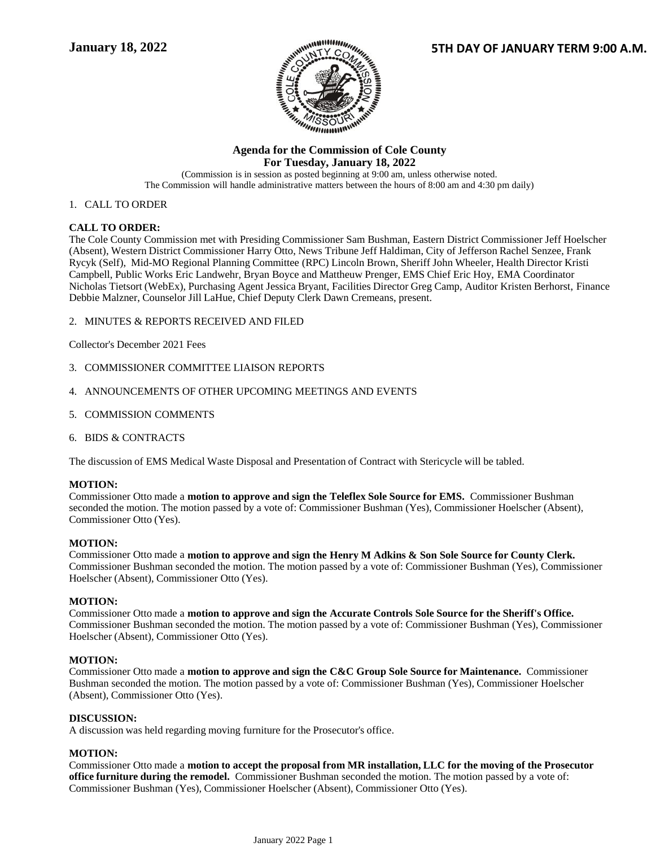

# **Agenda for the Commission of Cole County For Tuesday, January 18, 2022**

(Commission is in session as posted beginning at 9:00 am, unless otherwise noted. The Commission will handle administrative matters between the hours of 8:00 am and 4:30 pm daily)

# 1. CALL TO ORDER

# **CALL TO ORDER:**

The Cole County Commission met with Presiding Commissioner Sam Bushman, Eastern District Commissioner Jeff Hoelscher (Absent), Western District Commissioner Harry Otto, News Tribune Jeff Haldiman, City of Jefferson Rachel Senzee, Frank Rycyk (Self), Mid-MO Regional Planning Committee (RPC) Lincoln Brown, Sheriff John Wheeler, Health Director Kristi Campbell, Public Works Eric Landwehr, Bryan Boyce and Mattheuw Prenger, EMS Chief Eric Hoy, EMA Coordinator Nicholas Tietsort (WebEx), Purchasing Agent Jessica Bryant, Facilities Director Greg Camp, Auditor Kristen Berhorst, Finance Debbie Malzner, Counselor Jill LaHue, Chief Deputy Clerk Dawn Cremeans, present.

2. MINUTES & REPORTS RECEIVED AND FILED

Collector's December 2021 Fees

- 3. COMMISSIONER COMMITTEE LIAISON REPORTS
- 4. ANNOUNCEMENTS OF OTHER UPCOMING MEETINGS AND EVENTS
- 5. COMMISSION COMMENTS
- 6. BIDS & CONTRACTS

The discussion of EMS Medical Waste Disposal and Presentation of Contract with Stericycle will be tabled.

# **MOTION:**

Commissioner Otto made a **motion to approve and sign the Teleflex Sole Source for EMS.** Commissioner Bushman seconded the motion. The motion passed by a vote of: Commissioner Bushman (Yes), Commissioner Hoelscher (Absent), Commissioner Otto (Yes).

# **MOTION:**

Commissioner Otto made a **motion to approve and sign the Henry M Adkins & Son Sole Source for County Clerk.**  Commissioner Bushman seconded the motion. The motion passed by a vote of: Commissioner Bushman (Yes), Commissioner Hoelscher (Absent), Commissioner Otto (Yes).

# **MOTION:**

Commissioner Otto made a **motion to approve and sign the Accurate Controls Sole Source for the Sheriff's Office.**  Commissioner Bushman seconded the motion. The motion passed by a vote of: Commissioner Bushman (Yes), Commissioner Hoelscher (Absent), Commissioner Otto (Yes).

# **MOTION:**

Commissioner Otto made a **motion to approve and sign the C&C Group Sole Source for Maintenance.** Commissioner Bushman seconded the motion. The motion passed by a vote of: Commissioner Bushman (Yes), Commissioner Hoelscher (Absent), Commissioner Otto (Yes).

# **DISCUSSION:**

A discussion was held regarding moving furniture for the Prosecutor's office.

# **MOTION:**

Commissioner Otto made a **motion to accept the proposal from MR installation, LLC for the moving of the Prosecutor office furniture during the remodel.** Commissioner Bushman seconded the motion. The motion passed by a vote of: Commissioner Bushman (Yes), Commissioner Hoelscher (Absent), Commissioner Otto (Yes).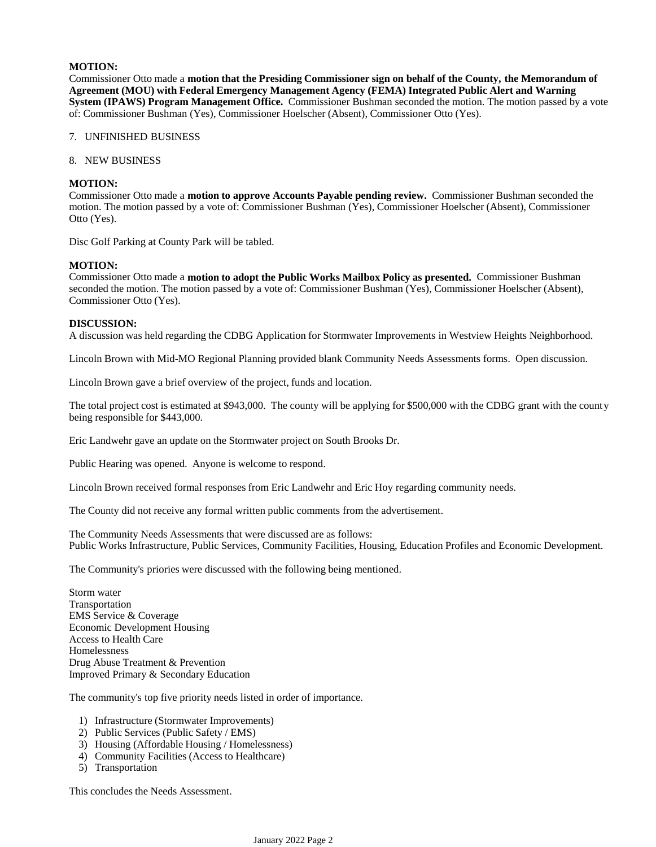# **MOTION:**

Commissioner Otto made a **motion that the Presiding Commissioner sign on behalf of the County, the Memorandum of Agreement (MOU) with Federal Emergency Management Agency (FEMA) Integrated Public Alert and Warning System (IPAWS) Program Management Office.** Commissioner Bushman seconded the motion. The motion passed by a vote of: Commissioner Bushman (Yes), Commissioner Hoelscher (Absent), Commissioner Otto (Yes).

- 7. UNFINISHED BUSINESS
- 8. NEW BUSINESS

### **MOTION:**

Commissioner Otto made a **motion to approve Accounts Payable pending review.** Commissioner Bushman seconded the motion. The motion passed by a vote of: Commissioner Bushman (Yes), Commissioner Hoelscher (Absent), Commissioner Otto (Yes).

Disc Golf Parking at County Park will be tabled.

#### **MOTION:**

Commissioner Otto made a **motion to adopt the Public Works Mailbox Policy as presented.** Commissioner Bushman seconded the motion. The motion passed by a vote of: Commissioner Bushman (Yes), Commissioner Hoelscher (Absent), Commissioner Otto (Yes).

#### **DISCUSSION:**

A discussion was held regarding the CDBG Application for Stormwater Improvements in Westview Heights Neighborhood.

Lincoln Brown with Mid-MO Regional Planning provided blank Community Needs Assessments forms. Open discussion.

Lincoln Brown gave a brief overview of the project, funds and location.

The total project cost is estimated at \$943,000. The county will be applying for \$500,000 with the CDBG grant with the county being responsible for \$443,000.

Eric Landwehr gave an update on the Stormwater project on South Brooks Dr.

Public Hearing was opened. Anyone is welcome to respond.

Lincoln Brown received formal responses from Eric Landwehr and Eric Hoy regarding community needs.

The County did not receive any formal written public comments from the advertisement.

The Community Needs Assessments that were discussed are as follows: Public Works Infrastructure, Public Services, Community Facilities, Housing, Education Profiles and Economic Development.

The Community's priories were discussed with the following being mentioned.

Storm water Transportation EMS Service & Coverage Economic Development Housing Access to Health Care Homelessness Drug Abuse Treatment & Prevention Improved Primary & Secondary Education

The community's top five priority needs listed in order of importance.

- 1) Infrastructure (Stormwater Improvements)
- 2) Public Services (Public Safety / EMS)
- 3) Housing (Affordable Housing / Homelessness)
- 4) Community Facilities (Access to Healthcare)
- 5) Transportation

This concludes the Needs Assessment.